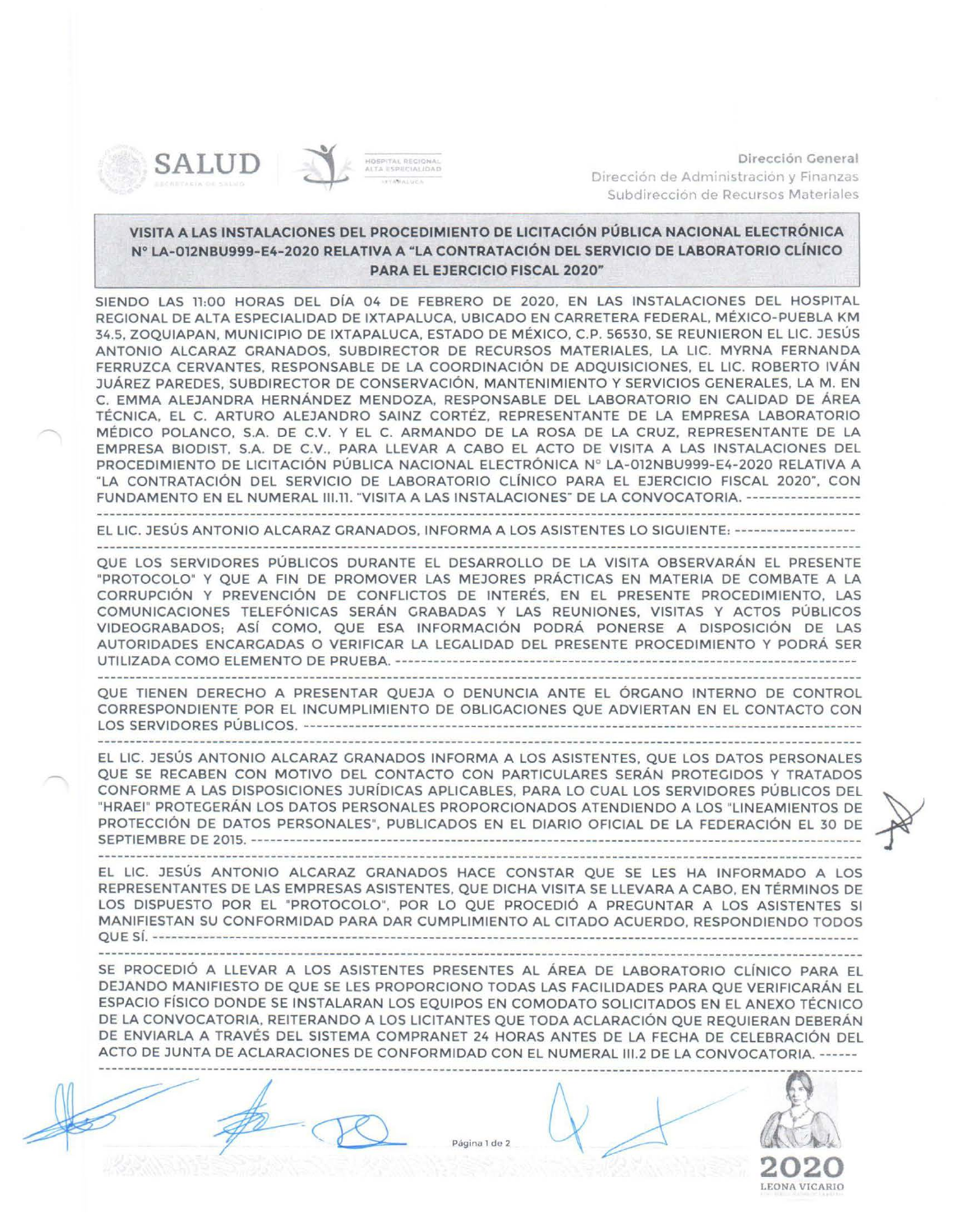

-

Dirección General Dirección de Administración y Finanzas Subdireccion de Recursos Materiales

## VISITA A LAS INSTALACIONES DEL PROCEDIMIENTO DE LICITACIÓN PÚBLICA NACIONAL ELECTRÓNICA Nº LA- 012NBU999-E4-2020 RELATIVA A " LA CONTRATACIÓN DEL SERVICIO DE LABORATORIO CLÍNICO PARA EL EJERCICIO FISCAL 2020"

SIENDO LAS 11:00 HORAS DEL DÍA 04 DE FEBRERO DE 2020, EN LAS INSTALACIONES DEL HOSPITAL REGIONAL DE ALTA ESPECIALIDAD DE IXTAPALUCA, UBICADO EN CARRETERA FEDERAL, MÉXICO-PUEBLA KM 34.5, ZOQUIAPAN, MUNICIPIO DE IXTAPALUCA, ESTADO DE MÉXICO, C.P. 56530, SE REUNIERON EL LIC. JESÚS ANTONIO ALCARAZ GRANADOS, SUBDIRECTOR DE RECURSOS MATERIALES, LA LIC. MYRNA FERNANDA FERRUZCA CERVANTES, RESPONSABLE DE LA COORDINACIÓN DE ADQUISICIONES, EL LIC. ROBERTO IVÁN JUÁREZ PAREDES, SUBDIRECTOR DE CONSERVACIÓN, MANTENIMIENTO Y SERVICIOS GENERALES, LA M . EN C. EMMA ALEJANDRA HERNÁNDEZ MENDOZA, RESPONSABLE DEL LABORATORIO EN CALIDAD DE ÁREA TÉCNICA, EL C. ARTURO ALEJANDRO SAINZ CORTÉZ, REPRESENTANTE DE LA EMPRESA LABORATORIO MÉDICO POLANCO, S.A. DE C.V. Y EL C. ARMANDO DE LA ROSA DE LA CRUZ, REPRESENTANTE DE LA EMPRESA BIODIST, S.A. DE C.V., PARA LLEVAR A CABO EL ACTO DE VISITA A LAS INSTALACIONES DEL PROCEDIMIENTO DE LICITACIÓN PÚBLICA NACIONAL ELECTRÓNICA Nº LA-012NBU999-E4-2020 RELATIVA A "LA CONTRATACIÓN DEL SERVICIO DE LABORATORIO CLÍNICO PARA EL EJERCICIO FISCAL 2020", CON FUNDAMENTO EN EL NUMERAL III.11. "VISITA A LAS INSTALACIONES" DE LA CONVOCATORIA. -----------------

EL LIC. JESÚS ANTONIO ALCARAZ GRANADOS, INFORMA A LOS ASISTENTES LO SIGUIENTE:------- ------------

QUE LOS SERVIDORES PÚBLICOS DURANTE EL DESARROLLO DE LA VISITA OBSERVARÁN EL PRESENTE "PROTOCOLO" Y QUE A FIN DE PROMOVER LAS MEJORES PRÁCTICAS EN MATERIA DE COMBATE A LA CORRUPCIÓN Y PREVENCIÓN DE CONFLICTOS DE INTERÉS, EN EL PRESENTE PROCEDIMIENTO, LAS COMUNICACIONES TELEFÓNICAS SERÁN GRABADAS Y LAS REUNIONES, VISITAS Y ACTOS PÚBLICOS VIDEOGRABADOS; ASÍ COMO, QUE ESA INFORMACIÓN PODRÁ PONERSE A DISPOSICIÓN DE LAS AUTORIDADES ENCARGADAS O VERIFICAR LA LEGALIDAD DEL PRESENTE PROCEDIMIENTO Y PODRÁ SER UTILIZADA COMO ELEMENTO DE PRUEBA.--------------------------------- ---------------------------------------

QUE TIENEN DERECHO A PRESENTAR QUEJA O DENUNCIA ANTE EL ÓRGANO INTERNO DE CONTROL CORRESPONDIENTE POR EL INCUMPLIMIENTO DE OBLIGACIONES QUE ADVIERTAN EN EL CONTACTO CON LOS SERVIDOR ES PÚBLICOS. - - ---- - - - - -- - --- ----- ----- - --- - --- - ------------- - - ---- - - -- - - - --- ------ ---- ------------ -

EL LIC. JESÚS ANTONIO ALCARAZ GRANADOS INFORMA A LOS ASISTENTES, QUE LOS DATOS PERSONALES QUE SE RECABEN CON MOTIVO DEL CONTACTO CON PARTICULARES SERÁN PROTEGIDOS Y TRATADOS CONFORME A LAS DISPOSICIONES JURÍDICAS APLICABLES, PARA LO CUAL LOS SERVIDORES PÚBLICOS DEL<br>"HRAEI" PROTEGERÁN LOS DATOS PERSONALES PROPORCIONADOS ATENDIENDO A LOS "LINEAMIENTOS DE ~~~T~~~~~~ D~E2~1~~~~ ~-~~ ~~-~~~~-~ ~-~-~~-: ~~~~~ --~:-~~~~~~- ~~~:I~~ ~-~ ~~~~ ~~~~~ -~~- : ~

EL LIC. JESÚS ANTONIO ALCARAZ GRANADOS HACE CONSTAR QUE SE LES HA INFORMADO A LOS REPRESENTANTES DE LAS EMPRESAS ASISTENTES, QUE DICHA VISITA SE LLEVARA A CABO, EN TÉRMINOS DE LOS DISPUESTO POR EL "PROTOCOLO", POR LO QUE PROCEDIÓ A PREGUNTAR A LOS ASISTENTES SI MANIFIESTAN SU CONFORMIDAD PARA DAR CUMPLIMIENTO AL CITADO ACUERDO, RESPONDIENDO TODOS QUE SÍ. ---- - ---------------------------------------- ----------------------------------------------- ------------------

SE PROCEDIÓ A LLEVAR A LOS ASISTENTES PRESENTES AL ÁREA DE LABORATORIO CLÍNICO PARA EL DEJANDO MANIFIESTO DE QUE SE LES PROPORCIONO TODAS LAS FACILIDADES PARA QUE VERIFICARÁN EL ESPACIO FÍSICO DONDE SE INSTALARAN LOS EQUIPOS EN COMODATO SOLICITADOS EN EL ANEXO TÉCNICO DE LA CONVOCATORIA, REITERANDO A LOS LICITANTES QUE TODA ACLARACIÓN QUE REQUIERAN DEBERÁN DE ENVIARLA A TRAVÉS DEL SISTEMA COMPRANET 24 HORAS ANTES DE LA FECHA DE CELEBRACIÓN DEL ACTO DE JUNTA DE ACLARACIONES DE CONFORMIDAD CON EL NUMERAL 111.2 DE LA CONVOCATORIA.------